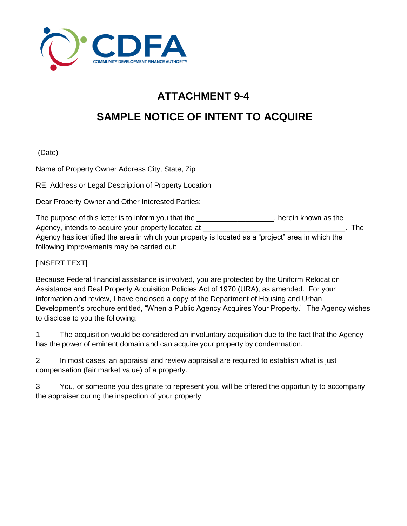

## **ATTACHMENT 9-4**

## **SAMPLE NOTICE OF INTENT TO ACQUIRE**

(Date)

Name of Property Owner Address City, State, Zip

RE: Address or Legal Description of Property Location

Dear Property Owner and Other Interested Parties:

| The purpose of this letter is to inform you that the                                              | herein known as the |     |
|---------------------------------------------------------------------------------------------------|---------------------|-----|
| Agency, intends to acquire your property located at                                               |                     | The |
| Agency has identified the area in which your property is located as a "project" area in which the |                     |     |
| following improvements may be carried out:                                                        |                     |     |

## [INSERT TEXT]

Because Federal financial assistance is involved, you are protected by the Uniform Relocation Assistance and Real Property Acquisition Policies Act of 1970 (URA), as amended. For your information and review, I have enclosed a copy of the Department of Housing and Urban Development's brochure entitled, "When a Public Agency Acquires Your Property." The Agency wishes to disclose to you the following:

1 The acquisition would be considered an involuntary acquisition due to the fact that the Agency has the power of eminent domain and can acquire your property by condemnation.

2 In most cases, an appraisal and review appraisal are required to establish what is just compensation (fair market value) of a property.

3 You, or someone you designate to represent you, will be offered the opportunity to accompany the appraiser during the inspection of your property.